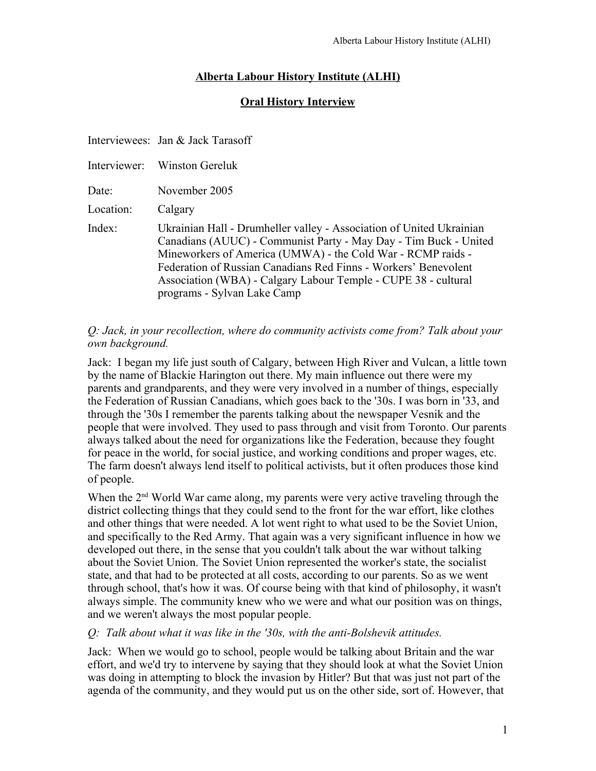# **Alberta Labour History Institute (ALHI)**

# **Oral History Interview**

|           | Interviewees: Jan & Jack Tarasoff                                                                                                                                                                                                                                                                                                                                           |
|-----------|-----------------------------------------------------------------------------------------------------------------------------------------------------------------------------------------------------------------------------------------------------------------------------------------------------------------------------------------------------------------------------|
|           | Interviewer: Winston Gereluk                                                                                                                                                                                                                                                                                                                                                |
| Date:     | November 2005                                                                                                                                                                                                                                                                                                                                                               |
| Location: | Calgary                                                                                                                                                                                                                                                                                                                                                                     |
| Index:    | Ukrainian Hall - Drumheller valley - Association of United Ukrainian<br>Canadians (AUUC) - Communist Party - May Day - Tim Buck - United<br>Mineworkers of America (UMWA) - the Cold War - RCMP raids -<br>Federation of Russian Canadians Red Finns - Workers' Benevolent<br>Association (WBA) - Calgary Labour Temple - CUPE 38 - cultural<br>programs - Sylvan Lake Camp |

#### *Q: Jack, in your recollection, where do community activists come from? Talk about your own background.*

Jack: I began my life just south of Calgary, between High River and Vulcan, a little town by the name of Blackie Harington out there. My main influence out there were my parents and grandparents, and they were very involved in a number of things, especially the Federation of Russian Canadians, which goes back to the '30s. I was born in '33, and through the '30s I remember the parents talking about the newspaper Vesnik and the people that were involved. They used to pass through and visit from Toronto. Our parents always talked about the need for organizations like the Federation, because they fought for peace in the world, for social justice, and working conditions and proper wages, etc. The farm doesn't always lend itself to political activists, but it often produces those kind of people.

When the 2<sup>nd</sup> World War came along, my parents were very active traveling through the district collecting things that they could send to the front for the war effort, like clothes and other things that were needed. A lot went right to what used to be the Soviet Union, and specifically to the Red Army. That again was a very significant influence in how we developed out there, in the sense that you couldn't talk about the war without talking about the Soviet Union. The Soviet Union represented the worker's state, the socialist state, and that had to be protected at all costs, according to our parents. So as we went through school, that's how it was. Of course being with that kind of philosophy, it wasn't always simple. The community knew who we were and what our position was on things, and we weren't always the most popular people.

### *Q: Talk about what it was like in the '30s, with the anti-Bolshevik attitudes.*

Jack: When we would go to school, people would be talking about Britain and the war effort, and we'd try to intervene by saying that they should look at what the Soviet Union was doing in attempting to block the invasion by Hitler? But that was just not part of the agenda of the community, and they would put us on the other side, sort of. However, that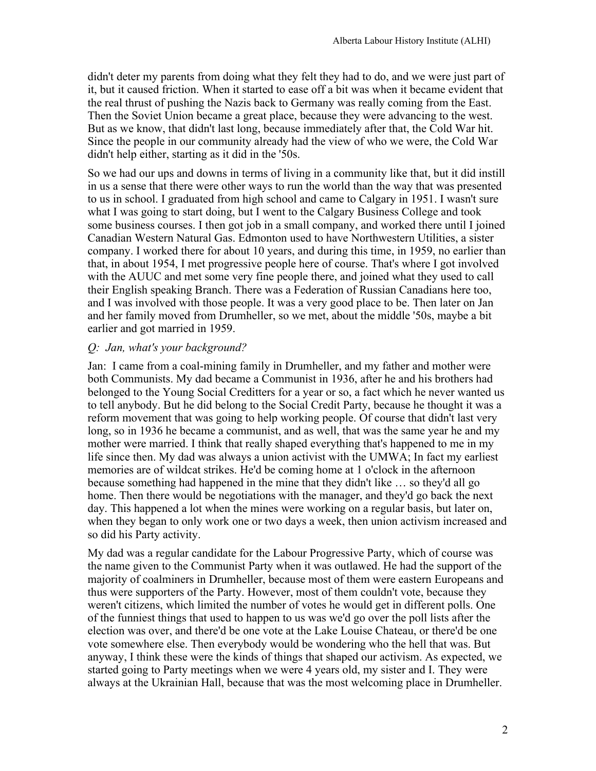didn't deter my parents from doing what they felt they had to do, and we were just part of it, but it caused friction. When it started to ease off a bit was when it became evident that the real thrust of pushing the Nazis back to Germany was really coming from the East. Then the Soviet Union became a great place, because they were advancing to the west. But as we know, that didn't last long, because immediately after that, the Cold War hit. Since the people in our community already had the view of who we were, the Cold War didn't help either, starting as it did in the '50s.

So we had our ups and downs in terms of living in a community like that, but it did instill in us a sense that there were other ways to run the world than the way that was presented to us in school. I graduated from high school and came to Calgary in 1951. I wasn't sure what I was going to start doing, but I went to the Calgary Business College and took some business courses. I then got job in a small company, and worked there until I joined Canadian Western Natural Gas. Edmonton used to have Northwestern Utilities, a sister company. I worked there for about 10 years, and during this time, in 1959, no earlier than that, in about 1954, I met progressive people here of course. That's where I got involved with the AUUC and met some very fine people there, and joined what they used to call their English speaking Branch. There was a Federation of Russian Canadians here too, and I was involved with those people. It was a very good place to be. Then later on Jan and her family moved from Drumheller, so we met, about the middle '50s, maybe a bit earlier and got married in 1959.

## *Q: Jan, what's your background?*

Jan: I came from a coal-mining family in Drumheller, and my father and mother were both Communists. My dad became a Communist in 1936, after he and his brothers had belonged to the Young Social Creditters for a year or so, a fact which he never wanted us to tell anybody. But he did belong to the Social Credit Party, because he thought it was a reform movement that was going to help working people. Of course that didn't last very long, so in 1936 he became a communist, and as well, that was the same year he and my mother were married. I think that really shaped everything that's happened to me in my life since then. My dad was always a union activist with the UMWA; In fact my earliest memories are of wildcat strikes. He'd be coming home at 1 o'clock in the afternoon because something had happened in the mine that they didn't like … so they'd all go home. Then there would be negotiations with the manager, and they'd go back the next day. This happened a lot when the mines were working on a regular basis, but later on, when they began to only work one or two days a week, then union activism increased and so did his Party activity.

My dad was a regular candidate for the Labour Progressive Party, which of course was the name given to the Communist Party when it was outlawed. He had the support of the majority of coalminers in Drumheller, because most of them were eastern Europeans and thus were supporters of the Party. However, most of them couldn't vote, because they weren't citizens, which limited the number of votes he would get in different polls. One of the funniest things that used to happen to us was we'd go over the poll lists after the election was over, and there'd be one vote at the Lake Louise Chateau, or there'd be one vote somewhere else. Then everybody would be wondering who the hell that was. But anyway, I think these were the kinds of things that shaped our activism. As expected, we started going to Party meetings when we were 4 years old, my sister and I. They were always at the Ukrainian Hall, because that was the most welcoming place in Drumheller.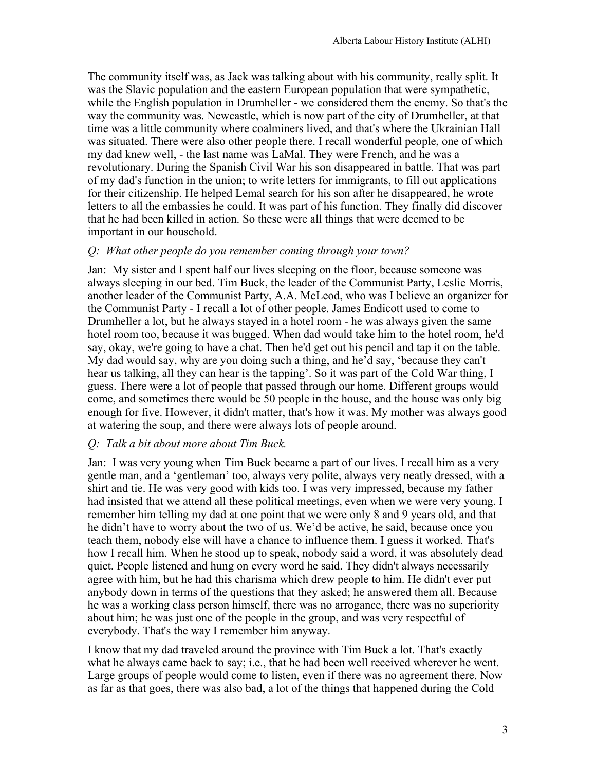The community itself was, as Jack was talking about with his community, really split. It was the Slavic population and the eastern European population that were sympathetic, while the English population in Drumheller - we considered them the enemy. So that's the way the community was. Newcastle, which is now part of the city of Drumheller, at that time was a little community where coalminers lived, and that's where the Ukrainian Hall was situated. There were also other people there. I recall wonderful people, one of which my dad knew well, - the last name was LaMal. They were French, and he was a revolutionary. During the Spanish Civil War his son disappeared in battle. That was part of my dad's function in the union; to write letters for immigrants, to fill out applications for their citizenship. He helped Lemal search for his son after he disappeared, he wrote letters to all the embassies he could. It was part of his function. They finally did discover that he had been killed in action. So these were all things that were deemed to be important in our household.

### *Q: What other people do you remember coming through your town?*

Jan: My sister and I spent half our lives sleeping on the floor, because someone was always sleeping in our bed. Tim Buck, the leader of the Communist Party, Leslie Morris, another leader of the Communist Party, A.A. McLeod, who was I believe an organizer for the Communist Party - I recall a lot of other people. James Endicott used to come to Drumheller a lot, but he always stayed in a hotel room - he was always given the same hotel room too, because it was bugged. When dad would take him to the hotel room, he'd say, okay, we're going to have a chat. Then he'd get out his pencil and tap it on the table. My dad would say, why are you doing such a thing, and he'd say, 'because they can't hear us talking, all they can hear is the tapping'. So it was part of the Cold War thing, I guess. There were a lot of people that passed through our home. Different groups would come, and sometimes there would be 50 people in the house, and the house was only big enough for five. However, it didn't matter, that's how it was. My mother was always good at watering the soup, and there were always lots of people around.

# *Q: Talk a bit about more about Tim Buck.*

Jan: I was very young when Tim Buck became a part of our lives. I recall him as a very gentle man, and a 'gentleman' too, always very polite, always very neatly dressed, with a shirt and tie. He was very good with kids too. I was very impressed, because my father had insisted that we attend all these political meetings, even when we were very young. I remember him telling my dad at one point that we were only 8 and 9 years old, and that he didn't have to worry about the two of us. We'd be active, he said, because once you teach them, nobody else will have a chance to influence them. I guess it worked. That's how I recall him. When he stood up to speak, nobody said a word, it was absolutely dead quiet. People listened and hung on every word he said. They didn't always necessarily agree with him, but he had this charisma which drew people to him. He didn't ever put anybody down in terms of the questions that they asked; he answered them all. Because he was a working class person himself, there was no arrogance, there was no superiority about him; he was just one of the people in the group, and was very respectful of everybody. That's the way I remember him anyway.

I know that my dad traveled around the province with Tim Buck a lot. That's exactly what he always came back to say; i.e., that he had been well received wherever he went. Large groups of people would come to listen, even if there was no agreement there. Now as far as that goes, there was also bad, a lot of the things that happened during the Cold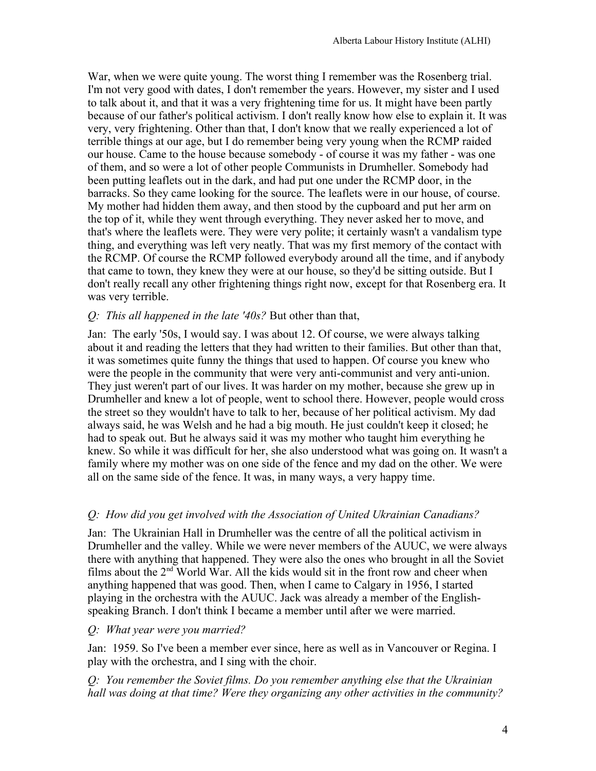War, when we were quite young. The worst thing I remember was the Rosenberg trial. I'm not very good with dates, I don't remember the years. However, my sister and I used to talk about it, and that it was a very frightening time for us. It might have been partly because of our father's political activism. I don't really know how else to explain it. It was very, very frightening. Other than that, I don't know that we really experienced a lot of terrible things at our age, but I do remember being very young when the RCMP raided our house. Came to the house because somebody - of course it was my father - was one of them, and so were a lot of other people Communists in Drumheller. Somebody had been putting leaflets out in the dark, and had put one under the RCMP door, in the barracks. So they came looking for the source. The leaflets were in our house, of course. My mother had hidden them away, and then stood by the cupboard and put her arm on the top of it, while they went through everything. They never asked her to move, and that's where the leaflets were. They were very polite; it certainly wasn't a vandalism type thing, and everything was left very neatly. That was my first memory of the contact with the RCMP. Of course the RCMP followed everybody around all the time, and if anybody that came to town, they knew they were at our house, so they'd be sitting outside. But I don't really recall any other frightening things right now, except for that Rosenberg era. It was very terrible.

### *Q: This all happened in the late '40s?* But other than that,

Jan: The early '50s, I would say. I was about 12. Of course, we were always talking about it and reading the letters that they had written to their families. But other than that, it was sometimes quite funny the things that used to happen. Of course you knew who were the people in the community that were very anti-communist and very anti-union. They just weren't part of our lives. It was harder on my mother, because she grew up in Drumheller and knew a lot of people, went to school there. However, people would cross the street so they wouldn't have to talk to her, because of her political activism. My dad always said, he was Welsh and he had a big mouth. He just couldn't keep it closed; he had to speak out. But he always said it was my mother who taught him everything he knew. So while it was difficult for her, she also understood what was going on. It wasn't a family where my mother was on one side of the fence and my dad on the other. We were all on the same side of the fence. It was, in many ways, a very happy time.

# *Q: How did you get involved with the Association of United Ukrainian Canadians?*

Jan: The Ukrainian Hall in Drumheller was the centre of all the political activism in Drumheller and the valley. While we were never members of the AUUC, we were always there with anything that happened. They were also the ones who brought in all the Soviet films about the 2<sup>nd</sup> World War. All the kids would sit in the front row and cheer when anything happened that was good. Then, when I came to Calgary in 1956, I started playing in the orchestra with the AUUC. Jack was already a member of the Englishspeaking Branch. I don't think I became a member until after we were married.

### *Q: What year were you married?*

Jan: 1959. So I've been a member ever since, here as well as in Vancouver or Regina. I play with the orchestra, and I sing with the choir.

*Q: You remember the Soviet films. Do you remember anything else that the Ukrainian hall was doing at that time? Were they organizing any other activities in the community?*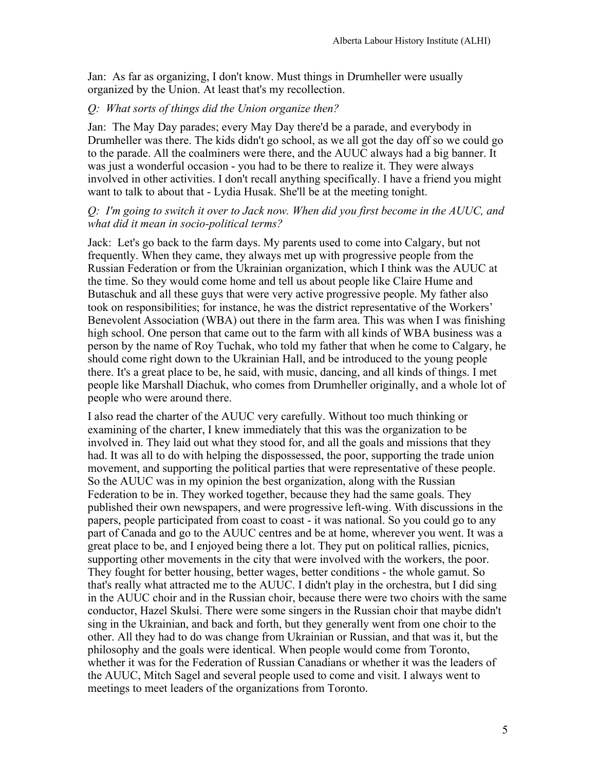Jan: As far as organizing, I don't know. Must things in Drumheller were usually organized by the Union. At least that's my recollection.

## *Q: What sorts of things did the Union organize then?*

Jan: The May Day parades; every May Day there'd be a parade, and everybody in Drumheller was there. The kids didn't go school, as we all got the day off so we could go to the parade. All the coalminers were there, and the AUUC always had a big banner. It was just a wonderful occasion - you had to be there to realize it. They were always involved in other activities. I don't recall anything specifically. I have a friend you might want to talk to about that - Lydia Husak. She'll be at the meeting tonight.

### *Q: I'm going to switch it over to Jack now. When did you first become in the AUUC, and what did it mean in socio-political terms?*

Jack: Let's go back to the farm days. My parents used to come into Calgary, but not frequently. When they came, they always met up with progressive people from the Russian Federation or from the Ukrainian organization, which I think was the AUUC at the time. So they would come home and tell us about people like Claire Hume and Butaschuk and all these guys that were very active progressive people. My father also took on responsibilities; for instance, he was the district representative of the Workers' Benevolent Association (WBA) out there in the farm area. This was when I was finishing high school. One person that came out to the farm with all kinds of WBA business was a person by the name of Roy Tuchak, who told my father that when he come to Calgary, he should come right down to the Ukrainian Hall, and be introduced to the young people there. It's a great place to be, he said, with music, dancing, and all kinds of things. I met people like Marshall Diachuk, who comes from Drumheller originally, and a whole lot of people who were around there.

I also read the charter of the AUUC very carefully. Without too much thinking or examining of the charter, I knew immediately that this was the organization to be involved in. They laid out what they stood for, and all the goals and missions that they had. It was all to do with helping the dispossessed, the poor, supporting the trade union movement, and supporting the political parties that were representative of these people. So the AUUC was in my opinion the best organization, along with the Russian Federation to be in. They worked together, because they had the same goals. They published their own newspapers, and were progressive left-wing. With discussions in the papers, people participated from coast to coast - it was national. So you could go to any part of Canada and go to the AUUC centres and be at home, wherever you went. It was a great place to be, and I enjoyed being there a lot. They put on political rallies, picnics, supporting other movements in the city that were involved with the workers, the poor. They fought for better housing, better wages, better conditions - the whole gamut. So that's really what attracted me to the AUUC. I didn't play in the orchestra, but I did sing in the AUUC choir and in the Russian choir, because there were two choirs with the same conductor, Hazel Skulsi. There were some singers in the Russian choir that maybe didn't sing in the Ukrainian, and back and forth, but they generally went from one choir to the other. All they had to do was change from Ukrainian or Russian, and that was it, but the philosophy and the goals were identical. When people would come from Toronto, whether it was for the Federation of Russian Canadians or whether it was the leaders of the AUUC, Mitch Sagel and several people used to come and visit. I always went to meetings to meet leaders of the organizations from Toronto.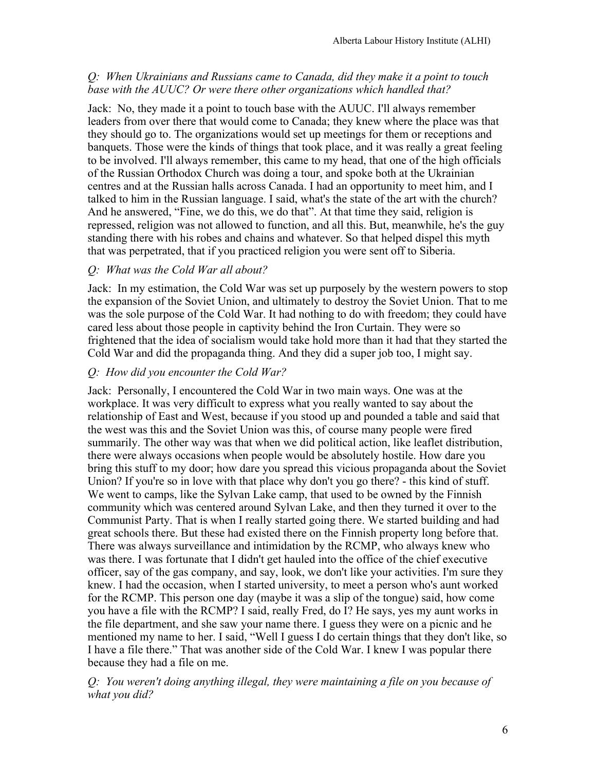# *Q: When Ukrainians and Russians came to Canada, did they make it a point to touch base with the AUUC? Or were there other organizations which handled that?*

Jack: No, they made it a point to touch base with the AUUC. I'll always remember leaders from over there that would come to Canada; they knew where the place was that they should go to. The organizations would set up meetings for them or receptions and banquets. Those were the kinds of things that took place, and it was really a great feeling to be involved. I'll always remember, this came to my head, that one of the high officials of the Russian Orthodox Church was doing a tour, and spoke both at the Ukrainian centres and at the Russian halls across Canada. I had an opportunity to meet him, and I talked to him in the Russian language. I said, what's the state of the art with the church? And he answered, "Fine, we do this, we do that". At that time they said, religion is repressed, religion was not allowed to function, and all this. But, meanwhile, he's the guy standing there with his robes and chains and whatever. So that helped dispel this myth that was perpetrated, that if you practiced religion you were sent off to Siberia.

# *Q: What was the Cold War all about?*

Jack: In my estimation, the Cold War was set up purposely by the western powers to stop the expansion of the Soviet Union, and ultimately to destroy the Soviet Union. That to me was the sole purpose of the Cold War. It had nothing to do with freedom; they could have cared less about those people in captivity behind the Iron Curtain. They were so frightened that the idea of socialism would take hold more than it had that they started the Cold War and did the propaganda thing. And they did a super job too, I might say.

# *Q: How did you encounter the Cold War?*

Jack: Personally, I encountered the Cold War in two main ways. One was at the workplace. It was very difficult to express what you really wanted to say about the relationship of East and West, because if you stood up and pounded a table and said that the west was this and the Soviet Union was this, of course many people were fired summarily. The other way was that when we did political action, like leaflet distribution, there were always occasions when people would be absolutely hostile. How dare you bring this stuff to my door; how dare you spread this vicious propaganda about the Soviet Union? If you're so in love with that place why don't you go there? - this kind of stuff. We went to camps, like the Sylvan Lake camp, that used to be owned by the Finnish community which was centered around Sylvan Lake, and then they turned it over to the Communist Party. That is when I really started going there. We started building and had great schools there. But these had existed there on the Finnish property long before that. There was always surveillance and intimidation by the RCMP, who always knew who was there. I was fortunate that I didn't get hauled into the office of the chief executive officer, say of the gas company, and say, look, we don't like your activities. I'm sure they knew. I had the occasion, when I started university, to meet a person who's aunt worked for the RCMP. This person one day (maybe it was a slip of the tongue) said, how come you have a file with the RCMP? I said, really Fred, do I? He says, yes my aunt works in the file department, and she saw your name there. I guess they were on a picnic and he mentioned my name to her. I said, "Well I guess I do certain things that they don't like, so I have a file there." That was another side of the Cold War. I knew I was popular there because they had a file on me.

*Q: You weren't doing anything illegal, they were maintaining a file on you because of what you did?*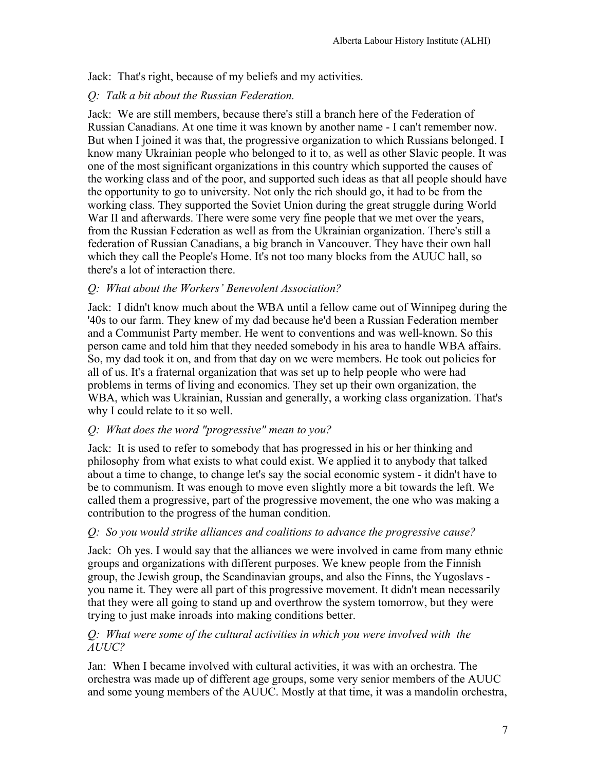Jack: That's right, because of my beliefs and my activities.

# *Q: Talk a bit about the Russian Federation.*

Jack: We are still members, because there's still a branch here of the Federation of Russian Canadians. At one time it was known by another name - I can't remember now. But when I joined it was that, the progressive organization to which Russians belonged. I know many Ukrainian people who belonged to it to, as well as other Slavic people. It was one of the most significant organizations in this country which supported the causes of the working class and of the poor, and supported such ideas as that all people should have the opportunity to go to university. Not only the rich should go, it had to be from the working class. They supported the Soviet Union during the great struggle during World War II and afterwards. There were some very fine people that we met over the years, from the Russian Federation as well as from the Ukrainian organization. There's still a federation of Russian Canadians, a big branch in Vancouver. They have their own hall which they call the People's Home. It's not too many blocks from the AUUC hall, so there's a lot of interaction there.

# *Q: What about the Workers' Benevolent Association?*

Jack: I didn't know much about the WBA until a fellow came out of Winnipeg during the '40s to our farm. They knew of my dad because he'd been a Russian Federation member and a Communist Party member. He went to conventions and was well-known. So this person came and told him that they needed somebody in his area to handle WBA affairs. So, my dad took it on, and from that day on we were members. He took out policies for all of us. It's a fraternal organization that was set up to help people who were had problems in terms of living and economics. They set up their own organization, the WBA, which was Ukrainian, Russian and generally, a working class organization. That's why I could relate to it so well.

# *Q: What does the word "progressive" mean to you?*

Jack: It is used to refer to somebody that has progressed in his or her thinking and philosophy from what exists to what could exist. We applied it to anybody that talked about a time to change, to change let's say the social economic system - it didn't have to be to communism. It was enough to move even slightly more a bit towards the left. We called them a progressive, part of the progressive movement, the one who was making a contribution to the progress of the human condition.

# *Q: So you would strike alliances and coalitions to advance the progressive cause?*

Jack: Oh yes. I would say that the alliances we were involved in came from many ethnic groups and organizations with different purposes. We knew people from the Finnish group, the Jewish group, the Scandinavian groups, and also the Finns, the Yugoslavs you name it. They were all part of this progressive movement. It didn't mean necessarily that they were all going to stand up and overthrow the system tomorrow, but they were trying to just make inroads into making conditions better.

## *Q: What were some of the cultural activities in which you were involved with the AUUC?*

Jan: When I became involved with cultural activities, it was with an orchestra. The orchestra was made up of different age groups, some very senior members of the AUUC and some young members of the AUUC. Mostly at that time, it was a mandolin orchestra,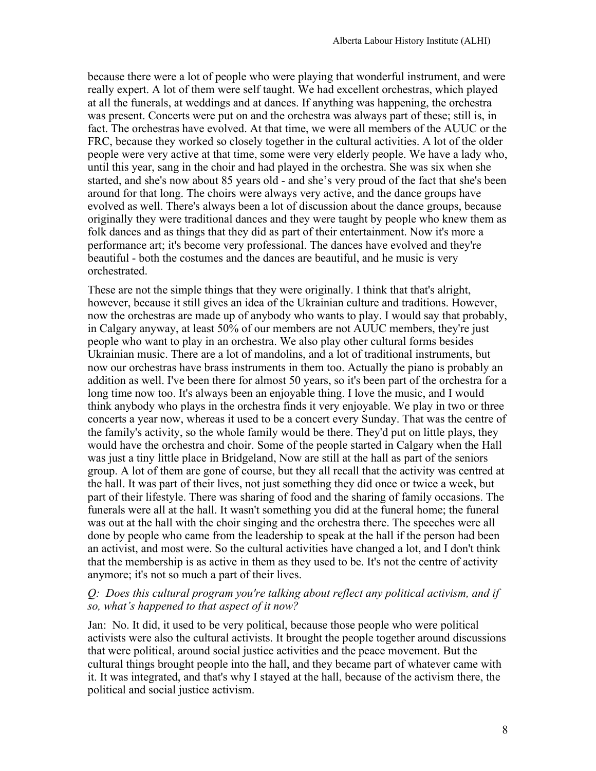because there were a lot of people who were playing that wonderful instrument, and were really expert. A lot of them were self taught. We had excellent orchestras, which played at all the funerals, at weddings and at dances. If anything was happening, the orchestra was present. Concerts were put on and the orchestra was always part of these; still is, in fact. The orchestras have evolved. At that time, we were all members of the AUUC or the FRC, because they worked so closely together in the cultural activities. A lot of the older people were very active at that time, some were very elderly people. We have a lady who, until this year, sang in the choir and had played in the orchestra. She was six when she started, and she's now about 85 years old - and she's very proud of the fact that she's been around for that long. The choirs were always very active, and the dance groups have evolved as well. There's always been a lot of discussion about the dance groups, because originally they were traditional dances and they were taught by people who knew them as folk dances and as things that they did as part of their entertainment. Now it's more a performance art; it's become very professional. The dances have evolved and they're beautiful - both the costumes and the dances are beautiful, and he music is very orchestrated.

These are not the simple things that they were originally. I think that that's alright, however, because it still gives an idea of the Ukrainian culture and traditions. However, now the orchestras are made up of anybody who wants to play. I would say that probably, in Calgary anyway, at least 50% of our members are not AUUC members, they're just people who want to play in an orchestra. We also play other cultural forms besides Ukrainian music. There are a lot of mandolins, and a lot of traditional instruments, but now our orchestras have brass instruments in them too. Actually the piano is probably an addition as well. I've been there for almost 50 years, so it's been part of the orchestra for a long time now too. It's always been an enjoyable thing. I love the music, and I would think anybody who plays in the orchestra finds it very enjoyable. We play in two or three concerts a year now, whereas it used to be a concert every Sunday. That was the centre of the family's activity, so the whole family would be there. They'd put on little plays, they would have the orchestra and choir. Some of the people started in Calgary when the Hall was just a tiny little place in Bridgeland, Now are still at the hall as part of the seniors group. A lot of them are gone of course, but they all recall that the activity was centred at the hall. It was part of their lives, not just something they did once or twice a week, but part of their lifestyle. There was sharing of food and the sharing of family occasions. The funerals were all at the hall. It wasn't something you did at the funeral home; the funeral was out at the hall with the choir singing and the orchestra there. The speeches were all done by people who came from the leadership to speak at the hall if the person had been an activist, and most were. So the cultural activities have changed a lot, and I don't think that the membership is as active in them as they used to be. It's not the centre of activity anymore; it's not so much a part of their lives.

## *Q: Does this cultural program you're talking about reflect any political activism, and if so, what's happened to that aspect of it now?*

Jan: No. It did, it used to be very political, because those people who were political activists were also the cultural activists. It brought the people together around discussions that were political, around social justice activities and the peace movement. But the cultural things brought people into the hall, and they became part of whatever came with it. It was integrated, and that's why I stayed at the hall, because of the activism there, the political and social justice activism.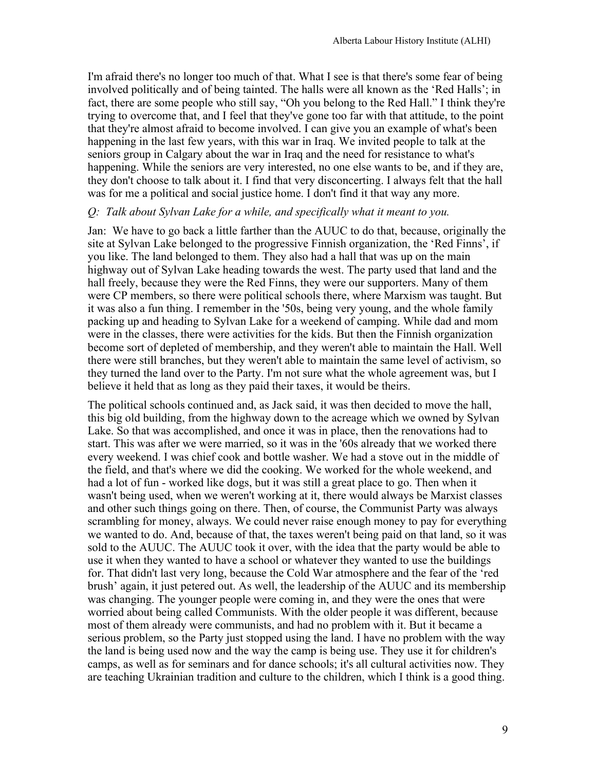I'm afraid there's no longer too much of that. What I see is that there's some fear of being involved politically and of being tainted. The halls were all known as the 'Red Halls'; in fact, there are some people who still say, "Oh you belong to the Red Hall." I think they're trying to overcome that, and I feel that they've gone too far with that attitude, to the point that they're almost afraid to become involved. I can give you an example of what's been happening in the last few years, with this war in Iraq. We invited people to talk at the seniors group in Calgary about the war in Iraq and the need for resistance to what's happening. While the seniors are very interested, no one else wants to be, and if they are, they don't choose to talk about it. I find that very disconcerting. I always felt that the hall was for me a political and social justice home. I don't find it that way any more.

### *Q: Talk about Sylvan Lake for a while, and specifically what it meant to you.*

Jan: We have to go back a little farther than the AUUC to do that, because, originally the site at Sylvan Lake belonged to the progressive Finnish organization, the 'Red Finns', if you like. The land belonged to them. They also had a hall that was up on the main highway out of Sylvan Lake heading towards the west. The party used that land and the hall freely, because they were the Red Finns, they were our supporters. Many of them were CP members, so there were political schools there, where Marxism was taught. But it was also a fun thing. I remember in the '50s, being very young, and the whole family packing up and heading to Sylvan Lake for a weekend of camping. While dad and mom were in the classes, there were activities for the kids. But then the Finnish organization become sort of depleted of membership, and they weren't able to maintain the Hall. Well there were still branches, but they weren't able to maintain the same level of activism, so they turned the land over to the Party. I'm not sure what the whole agreement was, but I believe it held that as long as they paid their taxes, it would be theirs.

The political schools continued and, as Jack said, it was then decided to move the hall, this big old building, from the highway down to the acreage which we owned by Sylvan Lake. So that was accomplished, and once it was in place, then the renovations had to start. This was after we were married, so it was in the '60s already that we worked there every weekend. I was chief cook and bottle washer. We had a stove out in the middle of the field, and that's where we did the cooking. We worked for the whole weekend, and had a lot of fun - worked like dogs, but it was still a great place to go. Then when it wasn't being used, when we weren't working at it, there would always be Marxist classes and other such things going on there. Then, of course, the Communist Party was always scrambling for money, always. We could never raise enough money to pay for everything we wanted to do. And, because of that, the taxes weren't being paid on that land, so it was sold to the AUUC. The AUUC took it over, with the idea that the party would be able to use it when they wanted to have a school or whatever they wanted to use the buildings for. That didn't last very long, because the Cold War atmosphere and the fear of the 'red brush' again, it just petered out. As well, the leadership of the AUUC and its membership was changing. The younger people were coming in, and they were the ones that were worried about being called Communists. With the older people it was different, because most of them already were communists, and had no problem with it. But it became a serious problem, so the Party just stopped using the land. I have no problem with the way the land is being used now and the way the camp is being use. They use it for children's camps, as well as for seminars and for dance schools; it's all cultural activities now. They are teaching Ukrainian tradition and culture to the children, which I think is a good thing.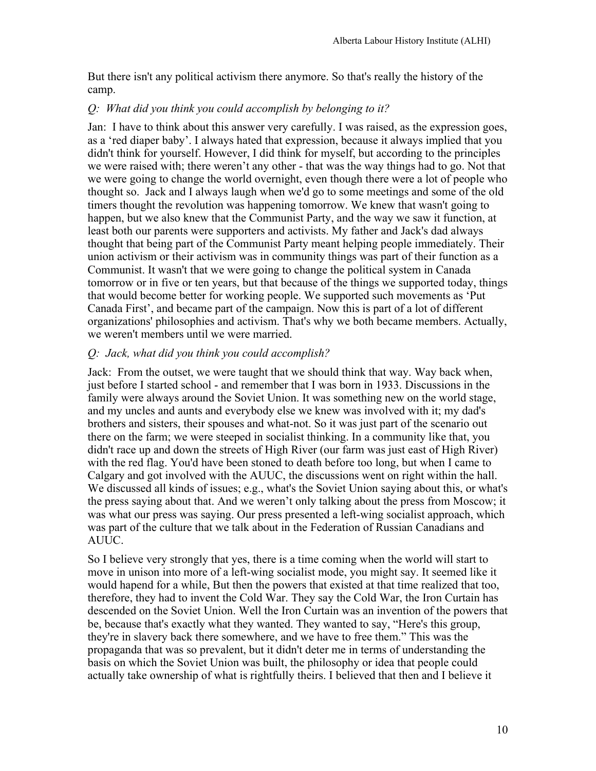But there isn't any political activism there anymore. So that's really the history of the camp.

## *Q: What did you think you could accomplish by belonging to it?*

Jan: I have to think about this answer very carefully. I was raised, as the expression goes, as a 'red diaper baby'. I always hated that expression, because it always implied that you didn't think for yourself. However, I did think for myself, but according to the principles we were raised with; there weren't any other - that was the way things had to go. Not that we were going to change the world overnight, even though there were a lot of people who thought so. Jack and I always laugh when we'd go to some meetings and some of the old timers thought the revolution was happening tomorrow. We knew that wasn't going to happen, but we also knew that the Communist Party, and the way we saw it function, at least both our parents were supporters and activists. My father and Jack's dad always thought that being part of the Communist Party meant helping people immediately. Their union activism or their activism was in community things was part of their function as a Communist. It wasn't that we were going to change the political system in Canada tomorrow or in five or ten years, but that because of the things we supported today, things that would become better for working people. We supported such movements as 'Put Canada First', and became part of the campaign. Now this is part of a lot of different organizations' philosophies and activism. That's why we both became members. Actually, we weren't members until we were married.

## *Q: Jack, what did you think you could accomplish?*

Jack: From the outset, we were taught that we should think that way. Way back when, just before I started school - and remember that I was born in 1933. Discussions in the family were always around the Soviet Union. It was something new on the world stage, and my uncles and aunts and everybody else we knew was involved with it; my dad's brothers and sisters, their spouses and what-not. So it was just part of the scenario out there on the farm; we were steeped in socialist thinking. In a community like that, you didn't race up and down the streets of High River (our farm was just east of High River) with the red flag. You'd have been stoned to death before too long, but when I came to Calgary and got involved with the AUUC, the discussions went on right within the hall. We discussed all kinds of issues; e.g., what's the Soviet Union saying about this, or what's the press saying about that. And we weren't only talking about the press from Moscow; it was what our press was saying. Our press presented a left-wing socialist approach, which was part of the culture that we talk about in the Federation of Russian Canadians and AUUC.

So I believe very strongly that yes, there is a time coming when the world will start to move in unison into more of a left-wing socialist mode, you might say. It seemed like it would hapend for a while, But then the powers that existed at that time realized that too, therefore, they had to invent the Cold War. They say the Cold War, the Iron Curtain has descended on the Soviet Union. Well the Iron Curtain was an invention of the powers that be, because that's exactly what they wanted. They wanted to say, "Here's this group, they're in slavery back there somewhere, and we have to free them." This was the propaganda that was so prevalent, but it didn't deter me in terms of understanding the basis on which the Soviet Union was built, the philosophy or idea that people could actually take ownership of what is rightfully theirs. I believed that then and I believe it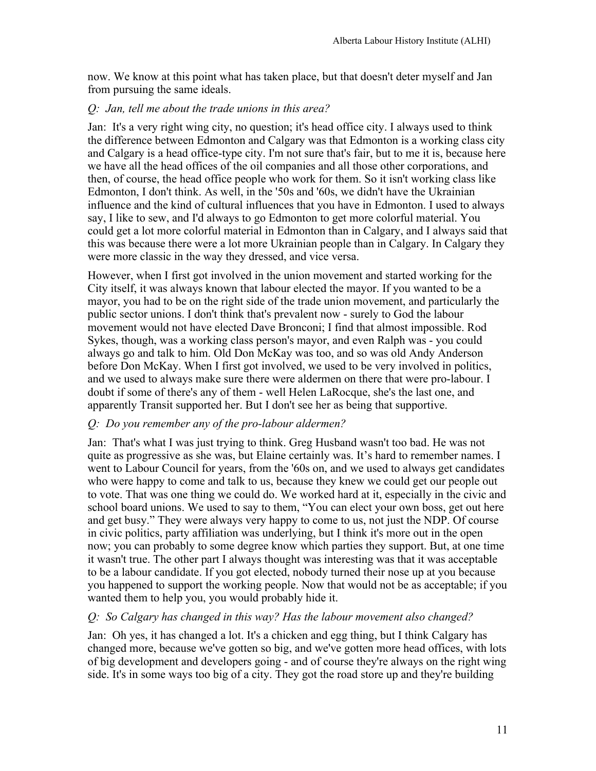now. We know at this point what has taken place, but that doesn't deter myself and Jan from pursuing the same ideals.

## *Q: Jan, tell me about the trade unions in this area?*

Jan: It's a very right wing city, no question; it's head office city. I always used to think the difference between Edmonton and Calgary was that Edmonton is a working class city and Calgary is a head office-type city. I'm not sure that's fair, but to me it is, because here we have all the head offices of the oil companies and all those other corporations, and then, of course, the head office people who work for them. So it isn't working class like Edmonton, I don't think. As well, in the '50s and '60s, we didn't have the Ukrainian influence and the kind of cultural influences that you have in Edmonton. I used to always say, I like to sew, and I'd always to go Edmonton to get more colorful material. You could get a lot more colorful material in Edmonton than in Calgary, and I always said that this was because there were a lot more Ukrainian people than in Calgary. In Calgary they were more classic in the way they dressed, and vice versa.

However, when I first got involved in the union movement and started working for the City itself, it was always known that labour elected the mayor. If you wanted to be a mayor, you had to be on the right side of the trade union movement, and particularly the public sector unions. I don't think that's prevalent now - surely to God the labour movement would not have elected Dave Bronconi; I find that almost impossible. Rod Sykes, though, was a working class person's mayor, and even Ralph was - you could always go and talk to him. Old Don McKay was too, and so was old Andy Anderson before Don McKay. When I first got involved, we used to be very involved in politics, and we used to always make sure there were aldermen on there that were pro-labour. I doubt if some of there's any of them - well Helen LaRocque, she's the last one, and apparently Transit supported her. But I don't see her as being that supportive.

# *Q: Do you remember any of the pro-labour aldermen?*

Jan: That's what I was just trying to think. Greg Husband wasn't too bad. He was not quite as progressive as she was, but Elaine certainly was. It's hard to remember names. I went to Labour Council for years, from the '60s on, and we used to always get candidates who were happy to come and talk to us, because they knew we could get our people out to vote. That was one thing we could do. We worked hard at it, especially in the civic and school board unions. We used to say to them, "You can elect your own boss, get out here and get busy." They were always very happy to come to us, not just the NDP. Of course in civic politics, party affiliation was underlying, but I think it's more out in the open now; you can probably to some degree know which parties they support. But, at one time it wasn't true. The other part I always thought was interesting was that it was acceptable to be a labour candidate. If you got elected, nobody turned their nose up at you because you happened to support the working people. Now that would not be as acceptable; if you wanted them to help you, you would probably hide it.

### *Q: So Calgary has changed in this way? Has the labour movement also changed?*

Jan: Oh yes, it has changed a lot. It's a chicken and egg thing, but I think Calgary has changed more, because we've gotten so big, and we've gotten more head offices, with lots of big development and developers going - and of course they're always on the right wing side. It's in some ways too big of a city. They got the road store up and they're building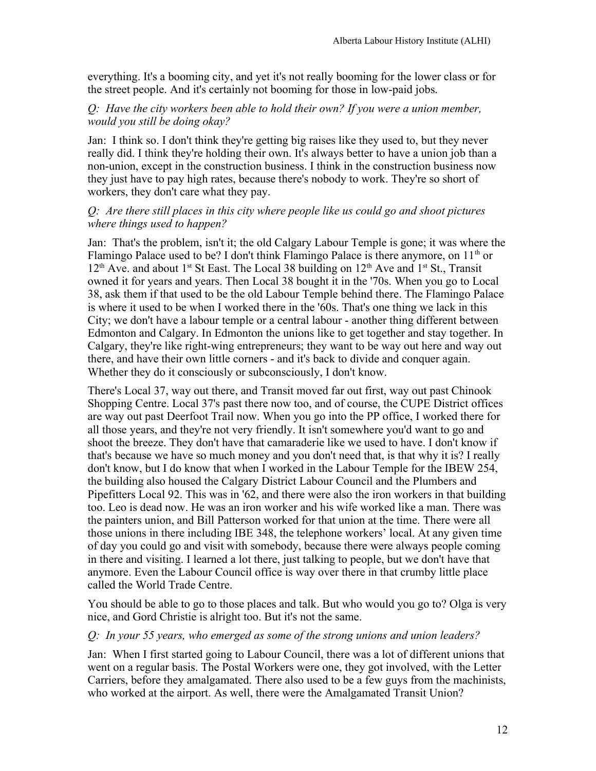everything. It's a booming city, and yet it's not really booming for the lower class or for the street people. And it's certainly not booming for those in low-paid jobs.

## *Q: Have the city workers been able to hold their own? If you were a union member, would you still be doing okay?*

Jan: I think so. I don't think they're getting big raises like they used to, but they never really did. I think they're holding their own. It's always better to have a union job than a non-union, except in the construction business. I think in the construction business now they just have to pay high rates, because there's nobody to work. They're so short of workers, they don't care what they pay.

### *Q: Are there still places in this city where people like us could go and shoot pictures where things used to happen?*

Jan: That's the problem, isn't it; the old Calgary Labour Temple is gone; it was where the Flamingo Palace used to be? I don't think Flamingo Palace is there anymore, on  $11<sup>th</sup>$  or  $12<sup>th</sup>$  Ave. and about 1<sup>st</sup> St East. The Local 38 building on  $12<sup>th</sup>$  Ave and 1<sup>st</sup> St., Transit owned it for years and years. Then Local 38 bought it in the '70s. When you go to Local 38, ask them if that used to be the old Labour Temple behind there. The Flamingo Palace is where it used to be when I worked there in the '60s. That's one thing we lack in this City; we don't have a labour temple or a central labour - another thing different between Edmonton and Calgary. In Edmonton the unions like to get together and stay together. In Calgary, they're like right-wing entrepreneurs; they want to be way out here and way out there, and have their own little corners - and it's back to divide and conquer again. Whether they do it consciously or subconsciously, I don't know.

There's Local 37, way out there, and Transit moved far out first, way out past Chinook Shopping Centre. Local 37's past there now too, and of course, the CUPE District offices are way out past Deerfoot Trail now. When you go into the PP office, I worked there for all those years, and they're not very friendly. It isn't somewhere you'd want to go and shoot the breeze. They don't have that camaraderie like we used to have. I don't know if that's because we have so much money and you don't need that, is that why it is? I really don't know, but I do know that when I worked in the Labour Temple for the IBEW 254, the building also housed the Calgary District Labour Council and the Plumbers and Pipefitters Local 92. This was in '62, and there were also the iron workers in that building too. Leo is dead now. He was an iron worker and his wife worked like a man. There was the painters union, and Bill Patterson worked for that union at the time. There were all those unions in there including IBE 348, the telephone workers' local. At any given time of day you could go and visit with somebody, because there were always people coming in there and visiting. I learned a lot there, just talking to people, but we don't have that anymore. Even the Labour Council office is way over there in that crumby little place called the World Trade Centre.

You should be able to go to those places and talk. But who would you go to? Olga is very nice, and Gord Christie is alright too. But it's not the same.

### *Q: In your 55 years, who emerged as some of the strong unions and union leaders?*

Jan: When I first started going to Labour Council, there was a lot of different unions that went on a regular basis. The Postal Workers were one, they got involved, with the Letter Carriers, before they amalgamated. There also used to be a few guys from the machinists, who worked at the airport. As well, there were the Amalgamated Transit Union?